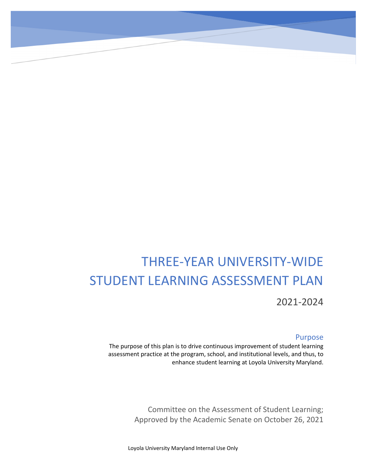# THREE-YEAR UNIVERSITY-WIDE STUDENT LEARNING ASSESSMENT PLAN 2021-2024

#### Purpose

The purpose of this plan is to drive continuous improvement of student learning assessment practice at the program, school, and institutional levels, and thus, to enhance student learning at Loyola University Maryland.

> Committee on the Assessment of Student Learning; Approved by the Academic Senate on October 26, 2021

Loyola University Maryland Internal Use Only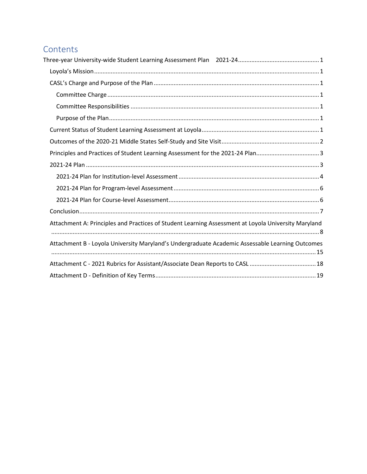## Contents

| Principles and Practices of Student Learning Assessment for the 2021-24 Plan3                       |
|-----------------------------------------------------------------------------------------------------|
|                                                                                                     |
|                                                                                                     |
|                                                                                                     |
|                                                                                                     |
|                                                                                                     |
| Attachment A: Principles and Practices of Student Learning Assessment at Loyola University Maryland |
| Attachment B - Loyola University Maryland's Undergraduate Academic Assessable Learning Outcomes     |
|                                                                                                     |
|                                                                                                     |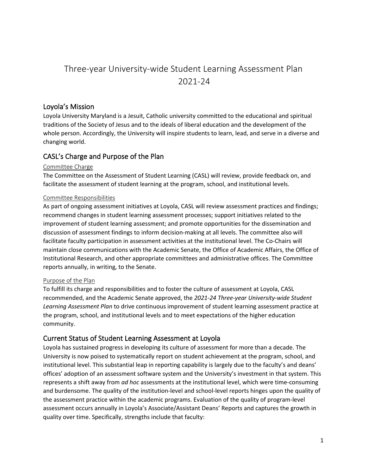# <span id="page-2-0"></span>Three-year University-wide Student Learning Assessment Plan 2021-24

## <span id="page-2-1"></span>Loyola's Mission

Loyola University Maryland is a Jesuit, Catholic university committed to the educational and spiritual traditions of the Society of Jesus and to the ideals of liberal education and the development of the whole person. Accordingly, the University will inspire students to learn, lead, and serve in a diverse and changing world.

## <span id="page-2-2"></span>CASL's Charge and Purpose of the Plan

#### <span id="page-2-3"></span>Committee Charge

The Committee on the Assessment of Student Learning (CASL) will review, provide feedback on, and facilitate the assessment of student learning at the program, school, and institutional levels.

#### <span id="page-2-4"></span>Committee Responsibilities

As part of ongoing assessment initiatives at Loyola, CASL will review assessment practices and findings; recommend changes in student learning assessment processes; support initiatives related to the improvement of student learning assessment; and promote opportunities for the dissemination and discussion of assessment findings to inform decision-making at all levels. The committee also will facilitate faculty participation in assessment activities at the institutional level. The Co-Chairs will maintain close communications with the Academic Senate, the Office of Academic Affairs, the Office of Institutional Research, and other appropriate committees and administrative offices. The Committee reports annually, in writing, to the Senate.

#### <span id="page-2-5"></span>Purpose of the Plan

To fulfill its charge and responsibilities and to foster the culture of assessment at Loyola, CASL recommended, and the Academic Senate approved, the *2021-24 Three-year University-wide Student Learning Assessment Plan* to drive continuous improvement of student learning assessment practice at the program, school, and institutional levels and to meet expectations of the higher education community.

## <span id="page-2-6"></span>Current Status of Student Learning Assessment at Loyola

Loyola has sustained progress in developing its culture of assessment for more than a decade. The University is now poised to systematically report on student achievement at the program, school, and institutional level. This substantial leap in reporting capability is largely due to the faculty's and deans' offices' adoption of an assessment software system and the University's investment in that system. This represents a shift away from *ad hoc* assessments at the institutional level, which were time-consuming and burdensome. The quality of the institution-level and school-level reports hinges upon the quality of the assessment practice within the academic programs. Evaluation of the quality of program-level assessment occurs annually in Loyola's Associate/Assistant Deans' Reports and captures the growth in quality over time. Specifically, strengths include that faculty: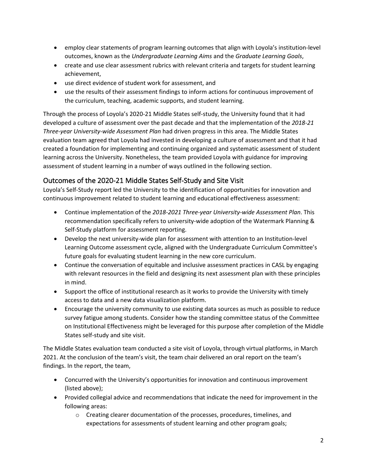- employ clear statements of program learning outcomes that align with Loyola's institution-level outcomes, known as the *Undergraduate Learning Aims* and the *Graduate Learning Goals*,
- create and use clear assessment rubrics with relevant criteria and targets for student learning achievement,
- use direct evidence of student work for assessment, and
- use the results of their assessment findings to inform actions for continuous improvement of the curriculum, teaching, academic supports, and student learning.

Through the process of Loyola's 2020-21 Middle States self-study, the University found that it had developed a culture of assessment over the past decade and that the implementation of the *2018-21 Three-year University-wide Assessment Plan* had driven progress in this area. The Middle States evaluation team agreed that Loyola had invested in developing a culture of assessment and that it had created a foundation for implementing and continuing organized and systematic assessment of student learning across the University. Nonetheless, the team provided Loyola with guidance for improving assessment of student learning in a number of ways outlined in the following section.

## <span id="page-3-0"></span>Outcomes of the 2020-21 Middle States Self-Study and Site Visit

Loyola's Self-Study report led the University to the identification of opportunities for innovation and continuous improvement related to student learning and educational effectiveness assessment:

- Continue implementation of the *2018-2021 Three-year University-wide Assessment Plan*. This recommendation specifically refers to university-wide adoption of the Watermark Planning & Self-Study platform for assessment reporting.
- Develop the next university-wide plan for assessment with attention to an Institution-level Learning Outcome assessment cycle, aligned with the Undergraduate Curriculum Committee's future goals for evaluating student learning in the new core curriculum.
- Continue the conversation of equitable and inclusive assessment practices in CASL by engaging with relevant resources in the field and designing its next assessment plan with these principles in mind.
- Support the office of institutional research as it works to provide the University with timely access to data and a new data visualization platform.
- Encourage the university community to use existing data sources as much as possible to reduce survey fatigue among students. Consider how the standing committee status of the Committee on Institutional Effectiveness might be leveraged for this purpose after completion of the Middle States self-study and site visit.

The Middle States evaluation team conducted a site visit of Loyola, through virtual platforms, in March 2021. At the conclusion of the team's visit, the team chair delivered an oral report on the team's findings. In the report, the team,

- Concurred with the University's opportunities for innovation and continuous improvement (listed above);
- Provided collegial advice and recommendations that indicate the need for improvement in the following areas:
	- o Creating clearer documentation of the processes, procedures, timelines, and expectations for assessments of student learning and other program goals;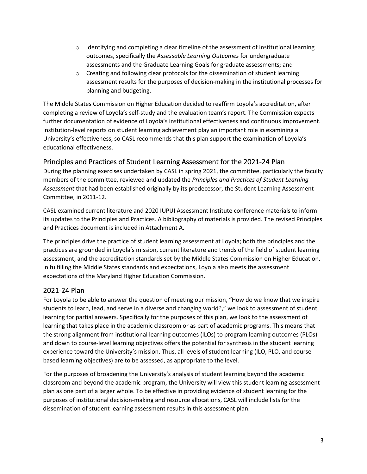- $\circ$  Identifying and completing a clear timeline of the assessment of institutional learning outcomes, specifically the *Assessable Learning Outcomes* for undergraduate assessments and the Graduate Learning Goals for graduate assessments; and
- $\circ$  Creating and following clear protocols for the dissemination of student learning assessment results for the purposes of decision-making in the institutional processes for planning and budgeting.

The Middle States Commission on Higher Education decided to reaffirm Loyola's accreditation, after completing a review of Loyola's self-study and the evaluation team's report. The Commission expects further documentation of evidence of Loyola's institutional effectiveness and continuous improvement. Institution-level reports on student learning achievement play an important role in examining a University's effectiveness, so CASL recommends that this plan support the examination of Loyola's educational effectiveness.

## <span id="page-4-0"></span>Principles and Practices of Student Learning Assessment for the 2021-24 Plan

During the planning exercises undertaken by CASL in spring 2021, the committee, particularly the faculty members of the committee, reviewed and updated the *Principles and Practices of Student Learning Assessment* that had been established originally by its predecessor, the Student Learning Assessment Committee, in 2011-12.

CASL examined current literature and 2020 IUPUI Assessment Institute conference materials to inform its updates to the Principles and Practices. A bibliography of materials is provided. The revised Principles and Practices document is included in Attachment A.

The principles drive the practice of student learning assessment at Loyola; both the principles and the practices are grounded in Loyola's mission, current literature and trends of the field of student learning assessment, and the accreditation standards set by the Middle States Commission on Higher Education. In fulfilling the Middle States standards and expectations, Loyola also meets the assessment expectations of the Maryland Higher Education Commission.

## <span id="page-4-1"></span>2021-24 Plan

For Loyola to be able to answer the question of meeting our mission, "How do we know that we inspire students to learn, lead, and serve in a diverse and changing world?," we look to assessment of student learning for partial answers. Specifically for the purposes of this plan, we look to the assessment of learning that takes place in the academic classroom or as part of academic programs. This means that the strong alignment from institutional learning outcomes (ILOs) to program learning outcomes (PLOs) and down to course-level learning objectives offers the potential for synthesis in the student learning experience toward the University's mission. Thus, all levels of student learning (ILO, PLO, and coursebased learning objectives) are to be assessed, as appropriate to the level.

For the purposes of broadening the University's analysis of student learning beyond the academic classroom and beyond the academic program, the University will view this student learning assessment plan as one part of a larger whole. To be effective in providing evidence of student learning for the purposes of institutional decision-making and resource allocations, CASL will include lists for the dissemination of student learning assessment results in this assessment plan.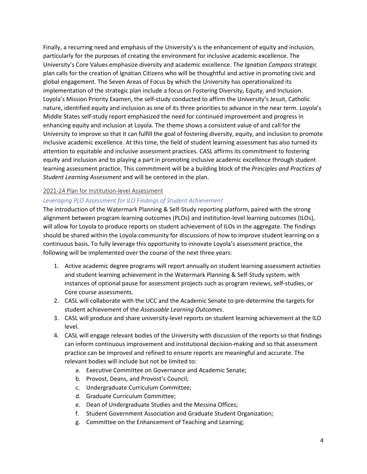Finally, a recurring need and emphasis of the University's is the enhancement of equity and inclusion, particularly for the purposes of creating the environment for inclusive academic excellence. The University's Core Values emphasize diversity and academic excellence. The *Ignatian Compass* strategic plan calls for the creation of Ignatian Citizens who will be thoughtful and active in promoting civic and global engagement. The Seven Areas of Focus by which the University has operationalized its implementation of the strategic plan include a focus on Fostering Diversity, Equity, and Inclusion. Loyola's Mission Priority Examen, the self-study conducted to affirm the University's Jesuit, Catholic nature, identified equity and inclusion as one of its three priorities to advance in the near term. Loyola's Middle States self-study report emphasized the need for continued improvement and progress in enhancing equity and inclusion at Loyola. The theme shows a consistent value of and call for the University to improve so that it can fulfill the goal of fostering diversity, equity, and inclusion to promote inclusive academic excellence. At this time, the field of student learning assessment has also turned its attention to equitable and inclusive assessment practices. CASL affirms its commitment to fostering equity and inclusion and to playing a part in promoting inclusive academic excellence through student learning assessment practice. This commitment will be a building block of the *Principles and Practices of Student Learning Assessment* and will be centered in the plan.

#### <span id="page-5-0"></span>2021-24 Plan for Institution-level Assessment

#### *Leveraging PLO Assessment for ILO Findings of Student Achievement*

The introduction of the Watermark Planning & Self-Study reporting platform, paired with the strong alignment between program learning outcomes (PLOs) and institution-level learning outcomes (ILOs), will allow for Loyola to produce reports on student achievement of ILOs in the aggregate. The findings should be shared within the Loyola community for discussions of how to improve student learning on a continuous basis. To fully leverage this opportunity to innovate Loyola's assessment practice, the following will be implemented over the course of the next three years:

- 1. Active academic degree programs will report annually on student learning assessment activities and student learning achievement in the Watermark Planning & Self-Study system, with instances of optional pause for assessment projects such as program reviews, self-studies, or Core course assessments.
- 2. CASL will collaborate with the UCC and the Academic Senate to pre-determine the targets for student achievement of the *Assessable Learning Outcomes*.
- 3. CASL will produce and share university-level reports on student learning achievement at the ILO level.
- 4. CASL will engage relevant bodies of the University with discussion of the reports so that findings can inform continuous improvement and institutional decision-making and so that assessment practice can be improved and refined to ensure reports are meaningful and accurate. The relevant bodies will include but not be limited to:
	- a. Executive Committee on Governance and Academic Senate;
	- b. Provost, Deans, and Provost's Council;
	- c. Undergraduate Curriculum Committee;
	- d. Graduate Curriculum Committee;
	- e. Dean of Undergraduate Studies and the Messina Offices;
	- f. Student Government Association and Graduate Student Organization;
	- g. Committee on the Enhancement of Teaching and Learning;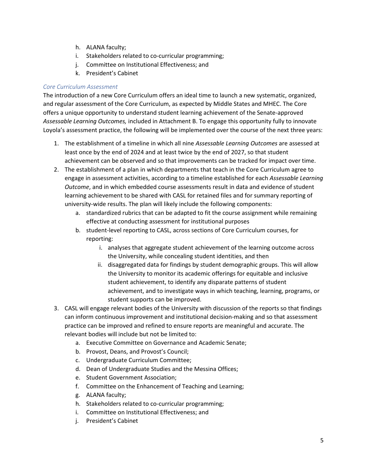- h. ALANA faculty;
- i. Stakeholders related to co-curricular programming;
- j. Committee on Institutional Effectiveness; and
- k. President's Cabinet

#### *Core Curriculum Assessment*

The introduction of a new Core Curriculum offers an ideal time to launch a new systematic, organized, and regular assessment of the Core Curriculum, as expected by Middle States and MHEC. The Core offers a unique opportunity to understand student learning achievement of the Senate-approved *Assessable Learning Outcomes,* included in Attachment B. To engage this opportunity fully to innovate Loyola's assessment practice, the following will be implemented over the course of the next three years:

- 1. The establishment of a timeline in which all nine *Assessable Learning Outcomes* are assessed at least once by the end of 2024 and at least twice by the end of 2027, so that student achievement can be observed and so that improvements can be tracked for impact over time.
- 2. The establishment of a plan in which departments that teach in the Core Curriculum agree to engage in assessment activities, according to a timeline established for each *Assessable Learning Outcome*, and in which embedded course assessments result in data and evidence of student learning achievement to be shared with CASL for retained files and for summary reporting of university-wide results. The plan will likely include the following components:
	- a. standardized rubrics that can be adapted to fit the course assignment while remaining effective at conducting assessment for institutional purposes
	- b. student-level reporting to CASL, across sections of Core Curriculum courses, for reporting:
		- i. analyses that aggregate student achievement of the learning outcome across the University, while concealing student identities, and then
		- ii. disaggregated data for findings by student demographic groups. This will allow the University to monitor its academic offerings for equitable and inclusive student achievement, to identify any disparate patterns of student achievement, and to investigate ways in which teaching, learning, programs, or student supports can be improved.
- 3. CASL will engage relevant bodies of the University with discussion of the reports so that findings can inform continuous improvement and institutional decision-making and so that assessment practice can be improved and refined to ensure reports are meaningful and accurate. The relevant bodies will include but not be limited to:
	- a. Executive Committee on Governance and Academic Senate;
	- b. Provost, Deans, and Provost's Council;
	- c. Undergraduate Curriculum Committee;
	- d. Dean of Undergraduate Studies and the Messina Offices;
	- e. Student Government Association;
	- f. Committee on the Enhancement of Teaching and Learning;
	- g. ALANA faculty;
	- h. Stakeholders related to co-curricular programming;
	- i. Committee on Institutional Effectiveness; and
	- j. President's Cabinet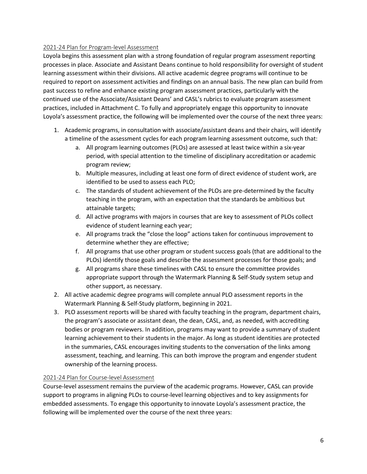#### <span id="page-7-0"></span>2021-24 Plan for Program-level Assessment

Loyola begins this assessment plan with a strong foundation of regular program assessment reporting processes in place. Associate and Assistant Deans continue to hold responsibility for oversight of student learning assessment within their divisions. All active academic degree programs will continue to be required to report on assessment activities and findings on an annual basis. The new plan can build from past success to refine and enhance existing program assessment practices, particularly with the continued use of the Associate/Assistant Deans' and CASL's rubrics to evaluate program assessment practices, included in Attachment C. To fully and appropriately engage this opportunity to innovate Loyola's assessment practice, the following will be implemented over the course of the next three years:

- 1. Academic programs, in consultation with associate/assistant deans and their chairs, will identify a timeline of the assessment cycles for each program learning assessment outcome, such that:
	- a. All program learning outcomes (PLOs) are assessed at least twice within a six-year period, with special attention to the timeline of disciplinary accreditation or academic program review;
	- b. Multiple measures, including at least one form of direct evidence of student work, are identified to be used to assess each PLO;
	- c. The standards of student achievement of the PLOs are pre-determined by the faculty teaching in the program, with an expectation that the standards be ambitious but attainable targets;
	- d. All active programs with majors in courses that are key to assessment of PLOs collect evidence of student learning each year;
	- e. All programs track the "close the loop" actions taken for continuous improvement to determine whether they are effective;
	- f. All programs that use other program or student success goals (that are additional to the PLOs) identify those goals and describe the assessment processes for those goals; and
	- g. All programs share these timelines with CASL to ensure the committee provides appropriate support through the Watermark Planning & Self-Study system setup and other support, as necessary.
- 2. All active academic degree programs will complete annual PLO assessment reports in the Watermark Planning & Self-Study platform, beginning in 2021.
- 3. PLO assessment reports will be shared with faculty teaching in the program, department chairs, the program's associate or assistant dean, the dean, CASL, and, as needed, with accrediting bodies or program reviewers. In addition, programs may want to provide a summary of student learning achievement to their students in the major. As long as student identities are protected in the summaries, CASL encourages inviting students to the conversation of the links among assessment, teaching, and learning. This can both improve the program and engender student ownership of the learning process.

#### <span id="page-7-1"></span>2021-24 Plan for Course-level Assessment

Course-level assessment remains the purview of the academic programs. However, CASL can provide support to programs in aligning PLOs to course-level learning objectives and to key assignments for embedded assessments. To engage this opportunity to innovate Loyola's assessment practice, the following will be implemented over the course of the next three years: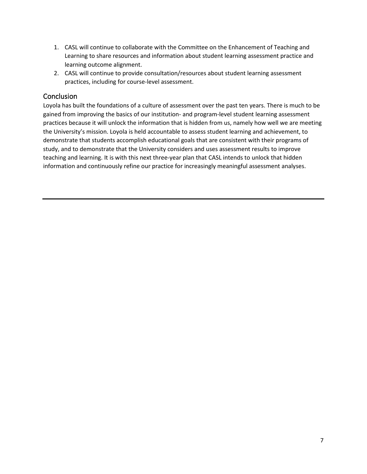- 1. CASL will continue to collaborate with the Committee on the Enhancement of Teaching and Learning to share resources and information about student learning assessment practice and learning outcome alignment.
- 2. CASL will continue to provide consultation/resources about student learning assessment practices, including for course-level assessment.

## <span id="page-8-0"></span>Conclusion

Loyola has built the foundations of a culture of assessment over the past ten years. There is much to be gained from improving the basics of our institution- and program-level student learning assessment practices because it will unlock the information that is hidden from us, namely how well we are meeting the University's mission. Loyola is held accountable to assess student learning and achievement, to demonstrate that students accomplish educational goals that are consistent with their programs of study, and to demonstrate that the University considers and uses assessment results to improve teaching and learning. It is with this next three-year plan that CASL intends to unlock that hidden information and continuously refine our practice for increasingly meaningful assessment analyses.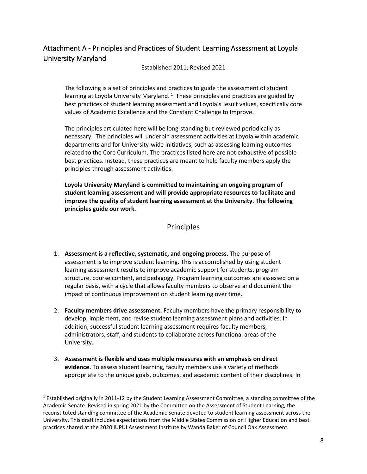## <span id="page-9-0"></span>Attachment A - Principles and Practices of Student Learning Assessment at Loyola University Maryland

Established 2011; Revised 2021

The following is a set of principles and practices to guide the assessment of student learning at Loyola University Maryland.<sup>[1](#page-9-1)</sup> These principles and practices are guided by best practices of student learning assessment and Loyola's Jesuit values, specifically core values of Academic Excellence and the Constant Challenge to Improve.

The principles articulated here will be long-standing but reviewed periodically as necessary. The principles will underpin assessment activities at Loyola within academic departments and for University-wide initiatives, such as assessing learning outcomes related to the Core Curriculum. The practices listed here are not exhaustive of possible best practices. Instead, these practices are meant to help faculty members apply the principles through assessment activities.

**Loyola University Maryland is committed to maintaining an ongoing program of student learning assessment and will provide appropriate resources to facilitate and improve the quality of student learning assessment at the University. The following principles guide our work.** 

#### Principles

- 1. **Assessment is a reflective, systematic, and ongoing process.** The purpose of assessment is to improve student learning. This is accomplished by using student learning assessment results to improve academic support for students, program structure, course content, and pedagogy. Program learning outcomes are assessed on a regular basis, with a cycle that allows faculty members to observe and document the impact of continuous improvement on student learning over time.
- 2. **Faculty members drive assessment.** Faculty members have the primary responsibility to develop, implement, and revise student learning assessment plans and activities. In addition, successful student learning assessment requires faculty members, administrators, staff, and students to collaborate across functional areas of the University.
- 3. **Assessment is flexible and uses multiple measures with an emphasis on direct evidence.** To assess student learning, faculty members use a variety of methods appropriate to the unique goals, outcomes, and academic content of their disciplines. In

<span id="page-9-1"></span><sup>&</sup>lt;sup>1</sup> Established originally in 2011-12 by the Student Learning Assessment Committee, a standing committee of the Academic Senate. Revised in spring 2021 by the Committee on the Assessment of Student Learning, the reconstituted standing committee of the Academic Senate devoted to student learning assessment across the University. This draft includes expectations from the Middle States Commission on Higher Education and best practices shared at the 2020 IUPUI Assessment Institute by Wanda Baker of Council Oak Assessment.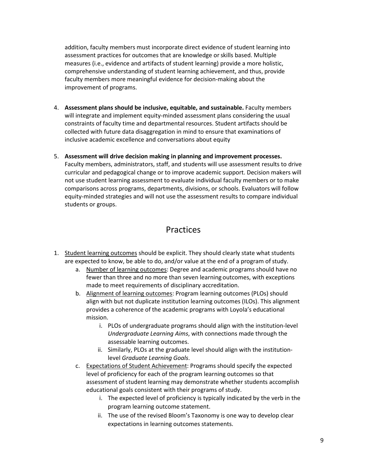addition, faculty members must incorporate direct evidence of student learning into assessment practices for outcomes that are knowledge orskills based. Multiple measures (i.e., evidence and artifacts of student learning) provide a more holistic, comprehensive understanding of student learning achievement, and thus, provide faculty members more meaningful evidence for decision-making about the improvement of programs.

- 4. **Assessment plans should be inclusive, equitable, and sustainable.** Faculty members will integrate and implement equity-minded assessment plans considering the usual constraints of faculty time and departmental resources. Student artifacts should be collected with future data disaggregation in mind to ensure that examinations of inclusive academic excellence and conversations about equity
- 5. **Assessment will drive decision making in planning and improvement processes.**

Faculty members, administrators, staff, and students will use assessment results to drive curricular and pedagogical change or to improve academic support. Decision makers will not use student learning assessment to evaluate individual faculty members or to make comparisons across programs, departments, divisions, or schools. Evaluators will follow equity-minded strategies and will not use the assessment results to compare individual students or groups.

## Practices

- 1. Student learning outcomes should be explicit. They should clearly state what students are expected to know, be able to do, and/or value at the end of a program of study.
	- a. Number of learning outcomes: Degree and academic programs should have no fewer than three and no more than seven learning outcomes, with exceptions made to meet requirements of disciplinary accreditation.
	- b. Alignment of learning outcomes: Program learning outcomes (PLOs) should align with but not duplicate institution learning outcomes (ILOs). This alignment provides a coherence of the academic programs with Loyola's educational mission.
		- i. PLOs of undergraduate programs should align with the institution-level *Undergraduate Learning Aims*, with connections made through the assessable learning outcomes.
		- ii. Similarly, PLOs at the graduate level should align with the institutionlevel *Graduate Learning Goals*.
	- c. Expectations of Student Achievement: Programs should specify the expected level of proficiency for each of the program learning outcomes so that assessment of student learning may demonstrate whether students accomplish educational goals consistent with their programs of study.
		- i. The expected level of proficiency is typically indicated by the verb in the program learning outcome statement.
		- ii. The use of the revised Bloom's Taxonomy is one way to develop clear expectations in learning outcomes statements.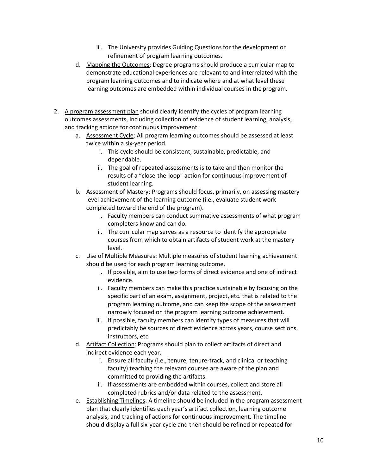- iii. The University provides Guiding Questions for the development or refinement of program learning outcomes.
- d. Mapping the Outcomes: Degree programs should produce a curricular map to demonstrate educational experiences are relevant to and interrelated with the program learning outcomes and to indicate where and at what level these learning outcomes are embedded within individual courses in the program.
- 2. A program assessment plan should clearly identify the cycles of program learning outcomes assessments, including collection of evidence of student learning, analysis, and tracking actions for continuous improvement.
	- a. Assessment Cycle: All program learning outcomes should be assessed at least twice within a six-year period.
		- i. This cycle should be consistent, sustainable, predictable, and dependable.
		- ii. The goal of repeated assessments is to take and then monitor the results of a "close-the-loop" action for continuous improvement of student learning.
	- b. Assessment of Mastery: Programs should focus, primarily, on assessing mastery level achievement of the learning outcome (i.e., evaluate student work completed toward the end of the program).
		- i. Faculty members can conduct summative assessments of what program completers know and can do.
		- ii. The curricular map serves as a resource to identify the appropriate courses from which to obtain artifacts of student work at the mastery level.
	- c. Use of Multiple Measures: Multiple measures of student learning achievement should be used for each program learning outcome.
		- i. If possible, aim to use two forms of direct evidence and one of indirect evidence.
		- ii. Faculty members can make this practice sustainable by focusing on the specific part of an exam, assignment, project, etc. that is related to the program learning outcome, and can keep the scope of the assessment narrowly focused on the program learning outcome achievement.
		- iii. If possible, faculty members can identify types of measures that will predictably be sources of direct evidence across years, course sections, instructors, etc.
	- d. Artifact Collection: Programs should plan to collect artifacts of direct and indirect evidence each year.
		- i. Ensure all faculty (i.e., tenure, tenure-track, and clinical or teaching faculty) teaching the relevant courses are aware of the plan and committed to providing the artifacts.
		- ii. If assessments are embedded within courses, collect and store all completed rubrics and/or data related to the assessment.
	- e. Establishing Timelines: A timeline should be included in the program assessment plan that clearly identifies each year's artifact collection, learning outcome analysis, and tracking of actions for continuous improvement. The timeline should display a full six-year cycle and then should be refined or repeated for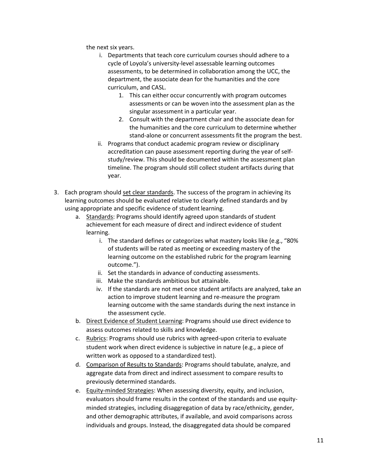the next six years.

- i. Departments that teach core curriculum courses should adhere to a cycle of Loyola's university-level assessable learning outcomes assessments, to be determined in collaboration among the UCC, the department, the associate dean for the humanities and the core curriculum, and CASL.
	- 1. This can either occur concurrently with program outcomes assessments or can be woven into the assessment plan as the singular assessment in a particular year.
	- 2. Consult with the department chair and the associate dean for the humanities and the core curriculum to determine whether stand-alone or concurrent assessments fit the program the best.
- ii. Programs that conduct academic program review or disciplinary accreditation can pause assessment reporting during the year of selfstudy/review. This should be documented within the assessment plan timeline. The program should still collect student artifacts during that year.
- 3. Each program should set clear standards. The success of the program in achieving its learning outcomes should be evaluated relative to clearly defined standards and by using appropriate and specific evidence of student learning.
	- a. Standards: Programs should identify agreed upon standards of student achievement for each measure of direct and indirect evidence of student learning.
		- i. The standard defines or categorizes what mastery looks like (e.g., "80% of students will be rated as meeting or exceeding mastery of the learning outcome on the established rubric for the program learning outcome.").
		- ii. Set the standards in advance of conducting assessments.
		- iii. Make the standards ambitious but attainable.
		- iv. If the standards are not met once student artifacts are analyzed, take an action to improve student learning and re-measure the program learning outcome with the same standards during the next instance in the assessment cycle.
	- b. Direct Evidence of Student Learning: Programs should use direct evidence to assess outcomes related to skills and knowledge.
	- c. Rubrics: Programs should use rubrics with agreed-upon criteria to evaluate student work when direct evidence is subjective in nature (e.g., a piece of written work as opposed to a standardized test).
	- d. Comparison of Results to Standards: Programs should tabulate, analyze, and aggregate data from direct and indirect assessment to compare results to previously determined standards.
	- e. Equity-minded Strategies: When assessing diversity, equity, and inclusion, evaluators should frame results in the context of the standards and use equityminded strategies, including disaggregation of data by race/ethnicity, gender, and other demographic attributes, if available, and avoid comparisons across individuals and groups. Instead, the disaggregated data should be compared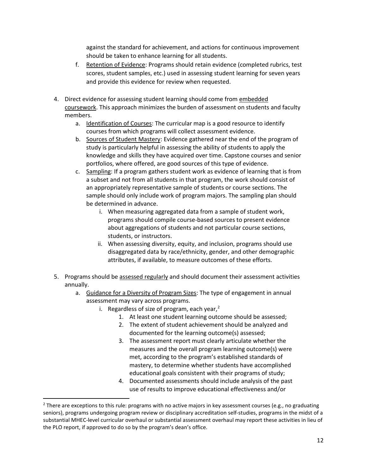against the standard for achievement, and actions for continuous improvement should be taken to enhance learning for all students.

- f. Retention of Evidence: Programs should retain evidence (completed rubrics, test scores, student samples, etc.) used in assessing student learning for seven years and provide this evidence for review when requested.
- 4. Direct evidence for assessing student learning should come from embedded coursework. This approach minimizes the burden of assessment on students and faculty members.
	- a. Identification of Courses: The curricular map is a good resource to identify courses from which programs will collect assessment evidence.
	- b. Sources of Student Mastery: Evidence gathered near the end of the program of study is particularly helpful in assessing the ability of students to apply the knowledge and skills they have acquired over time. Capstone courses and senior portfolios, where offered, are good sources of this type of evidence.
	- c. Sampling: If a program gathers student work as evidence of learning that is from a subset and not from all students in that program, the work should consist of an appropriately representative sample of students or course sections. The sample should only include work of program majors. The sampling plan should be determined in advance.
		- i. When measuring aggregated data from a sample of student work, programs should compile course-based sources to present evidence about aggregations of students and not particular course sections, students, or instructors.
		- ii. When assessing diversity, equity, and inclusion, programs should use disaggregated data by race/ethnicity, gender, and other demographic attributes, if available, to measure outcomes of these efforts.
- 5. Programs should be assessed regularly and should document their assessment activities annually.
	- a. Guidance for a Diversity of Program Sizes: The type of engagement in annual assessment may vary across programs.
		- i. Regardless of size of program, each year, $<sup>2</sup>$  $<sup>2</sup>$  $<sup>2</sup>$ </sup>
			- 1. At least one student learning outcome should be assessed;
			- 2. The extent of student achievement should be analyzed and documented for the learning outcome(s) assessed;
			- 3. The assessment report must clearly articulate whether the measures and the overall program learning outcome(s) were met, according to the program's established standards of mastery, to determine whether students have accomplished educational goals consistent with their programs of study;
			- 4. Documented assessments should include analysis of the past use of results to improve educational effectiveness and/or

<span id="page-13-0"></span> $2$  There are exceptions to this rule: programs with no active majors in key assessment courses (e.g., no graduating seniors), programs undergoing program review or disciplinary accreditation self-studies, programs in the midst of a substantial MHEC-level curricular overhaul or substantial assessment overhaul may report these activities in lieu of the PLO report, if approved to do so by the program's dean's office.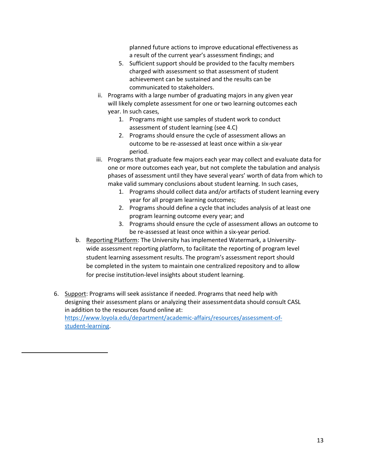planned future actions to improve educational effectiveness as a result of the current year's assessment findings; and

- 5. Sufficient support should be provided to the faculty members charged with assessment so that assessment of student achievement can be sustained and the results can be communicated to stakeholders.
- ii. Programs with a large number of graduating majors in any given year will likely complete assessment for one or two learning outcomes each year. In such cases,
	- 1. Programs might use samples of student work to conduct assessment of student learning (see 4.C)
	- 2. Programs should ensure the cycle of assessment allows an outcome to be re-assessed at least once within a six-year period.
- iii. Programs that graduate few majors each year may collect and evaluate data for one or more outcomes each year, but not complete the tabulation and analysis phases of assessment until they have several years' worth of data from which to make valid summary conclusions about student learning. In such cases,
	- 1. Programs should collect data and/or artifacts of student learning every year for all program learning outcomes;
	- 2. Programs should define a cycle that includes analysis of at least one program learning outcome every year; and
	- 3. Programs should ensure the cycle of assessment allows an outcome to be re-assessed at least once within a six-year period.
- b. Reporting Platform: The University has implemented Watermark, a Universitywide assessment reporting platform, to facilitate the reporting of program level student learning assessment results. The program's assessment report should be completed in the system to maintain one centralized repository and to allow for precise institution-level insights about student learning.
- 6. Support: Programs will seek assistance if needed. Programs that need help with designing their assessment plans or analyzing their assessmentdata should consult CASL in addition to the resources found online at: [https://www.loyola.edu/department/academic-affairs/resources/assessment-of](https://www.loyola.edu/department/academic-affairs/resources/assessment-of-student-learning)[student-learning.](https://www.loyola.edu/department/academic-affairs/resources/assessment-of-student-learning)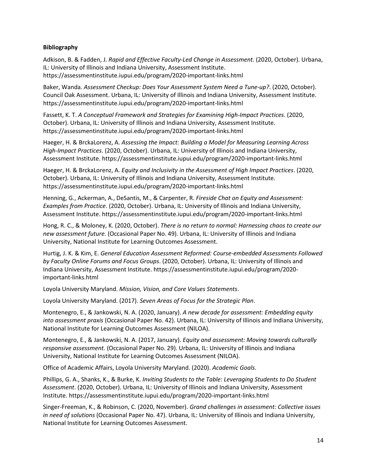#### **Bibliography**

Adkison, B. & Fadden, J. *Rapid and Effective Faculty-Led Change in Assessment*. (2020, October). Urbana, IL: University of Illinois and Indiana University, Assessment Institute. https://assessmentinstitute.iupui.edu/program/2020-important-links.html

Baker, Wanda. *Assessment Checkup: Does Your Assessment System Need a Tune-up?*. (2020, October). Council Oak Assessment. Urbana, IL: University of Illinois and Indiana University, Assessment Institute. https://assessmentinstitute.iupui.edu/program/2020-important-links.html

Fassett, K. T. *A Conceptual Framework and Strategies for Examining High-Impact Practices*. (2020, October). Urbana, IL: University of Illinois and Indiana University, Assessment Institute. https://assessmentinstitute.iupui.edu/program/2020-important-links.html

Haeger, H. & BrckaLorenz, A. *Assessing the Impact: Building a Model for Measuring Learning Across High-Impact Practices*. (2020, October). Urbana, IL: University of Illinois and Indiana University, Assessment Institute. https://assessmentinstitute.iupui.edu/program/2020-important-links.html

Haeger, H. & BrckaLorenz, A. *Equity and Inclusivity in the Assessment of High Impact Practices*. (2020, October). Urbana, IL: University of Illinois and Indiana University, Assessment Institute. https://assessmentinstitute.iupui.edu/program/2020-important-links.html

Henning, G., Ackerman, A., DeSantis, M., & Carpenter, R. *Fireside Chat on Equity and Assessment: Examples from Practice*. (2020, October). Urbana, IL: University of Illinois and Indiana University, Assessment Institute. https://assessmentinstitute.iupui.edu/program/2020-important-links.html

Hong, R. C., & Moloney, K. (2020, October). *There is no return to normal: Harnessing chaos to create our new assessment future.* (Occasional Paper No. 49). Urbana, IL: University of Illinois and Indiana University, National Institute for Learning Outcomes Assessment.

Hurtig, J. K. & Kim, E. *General Education Assessment Reformed: Course-embedded Assessments Followed by Faculty Online Forums and Focus Groups*. (2020, October). Urbana, IL: University of Illinois and Indiana University, Assessment Institute. https://assessmentinstitute.iupui.edu/program/2020 important-links.html

Loyola University Maryland. *Mission, Vision, and Core Values Statements*.

Loyola University Maryland. (2017). *Seven Areas of Focus for the Strategic Plan*.

Montenegro, E., & Jankowski, N. A. (2020, January). *A new decade for assessment: Embedding equity into assessment praxis* (Occasional Paper No. 42). Urbana, IL: University of Illinois and Indiana University, National Institute for Learning Outcomes Assessment (NILOA).

Montenegro, E., & Jankowski, N. A. (2017, January). *Equity and assessment: Moving towards culturally responsive assessment.* (Occasional Paper No. 29). Urbana, IL: University of Illinois and Indiana University, National Institute for Learning Outcomes Assessment (NILOA).

Office of Academic Affairs, Loyola University Maryland. (2020). *Academic Goals*.

Phillips, G. A., Shanks, K., & Burke, K. *Inviting Students to the Table: Leveraging Students to Do Student Assessment*. (2020, October). Urbana, IL: University of Illinois and Indiana University, Assessment Institute. https://assessmentinstitute.iupui.edu/program/2020-important-links.html

Singer-Freeman, K., & Robinson, C. (2020, November). *Grand challenges in assessment: Collective issues in need of solutions* (Occasional Paper No. 47). Urbana, IL: University of Illinois and Indiana University, National Institute for Learning Outcomes Assessment.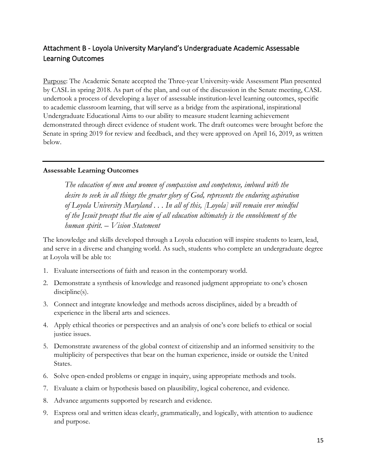## <span id="page-16-0"></span>Attachment B - Loyola University Maryland's Undergraduate Academic Assessable Learning Outcomes

Purpose: The Academic Senate accepted the Three-year University-wide Assessment Plan presented by CASL in spring 2018. As part of the plan, and out of the discussion in the Senate meeting, CASL undertook a process of developing a layer of assessable institution-level learning outcomes, specific to academic classroom learning, that will serve as a bridge from the aspirational, inspirational Undergraduate Educational Aims to our ability to measure student learning achievement demonstrated through direct evidence of student work. The draft outcomes were brought before the Senate in spring 2019 for review and feedback, and they were approved on April 16, 2019, as written below.

#### **Assessable Learning Outcomes**

*The education of men and women of compassion and competence, imbued with the desire to seek in all things the greater glory of God, represents the enduring aspiration of Loyola University Maryland . . . In all of this, [Loyola] will remain ever mindful of the Jesuit precept that the aim of all education ultimately is the ennoblement of the human spirit. – Vision Statement*

The knowledge and skills developed through a Loyola education will inspire students to learn, lead, and serve in a diverse and changing world. As such, students who complete an undergraduate degree at Loyola will be able to:

- 1. Evaluate intersections of faith and reason in the contemporary world.
- 2. Demonstrate a synthesis of knowledge and reasoned judgment appropriate to one's chosen discipline(s).
- 3. Connect and integrate knowledge and methods across disciplines, aided by a breadth of experience in the liberal arts and sciences.
- 4. Apply ethical theories or perspectives and an analysis of one's core beliefs to ethical or social justice issues.
- 5. Demonstrate awareness of the global context of citizenship and an informed sensitivity to the multiplicity of perspectives that bear on the human experience, inside or outside the United States.
- 6. Solve open-ended problems or engage in inquiry, using appropriate methods and tools.
- 7. Evaluate a claim or hypothesis based on plausibility, logical coherence, and evidence.
- 8. Advance arguments supported by research and evidence.
- 9. Express oral and written ideas clearly, grammatically, and logically, with attention to audience and purpose.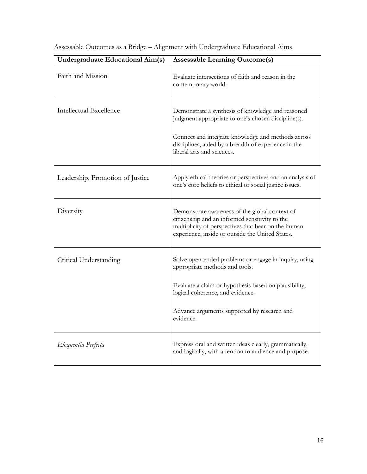| <b>Undergraduate Educational Aim(s)</b> | <b>Assessable Learning Outcome(s)</b>                                                                                                                                                                                  |  |
|-----------------------------------------|------------------------------------------------------------------------------------------------------------------------------------------------------------------------------------------------------------------------|--|
| Faith and Mission                       | Evaluate intersections of faith and reason in the<br>contemporary world.                                                                                                                                               |  |
| <b>Intellectual Excellence</b>          | Demonstrate a synthesis of knowledge and reasoned<br>judgment appropriate to one's chosen discipline(s).<br>Connect and integrate knowledge and methods across<br>disciplines, aided by a breadth of experience in the |  |
|                                         | liberal arts and sciences.                                                                                                                                                                                             |  |
| Leadership, Promotion of Justice        | Apply ethical theories or perspectives and an analysis of<br>one's core beliefs to ethical or social justice issues.                                                                                                   |  |
| Diversity                               | Demonstrate awareness of the global context of<br>citizenship and an informed sensitivity to the<br>multiplicity of perspectives that bear on the human<br>experience, inside or outside the United States.            |  |
| Critical Understanding                  | Solve open-ended problems or engage in inquiry, using<br>appropriate methods and tools.                                                                                                                                |  |
|                                         | Evaluate a claim or hypothesis based on plausibility,<br>logical coherence, and evidence.                                                                                                                              |  |
|                                         | Advance arguments supported by research and<br>evidence.                                                                                                                                                               |  |
| Eloquentia Perfecta                     | Express oral and written ideas clearly, grammatically,<br>and logically, with attention to audience and purpose.                                                                                                       |  |

Assessable Outcomes as a Bridge – Alignment with Undergraduate Educational Aims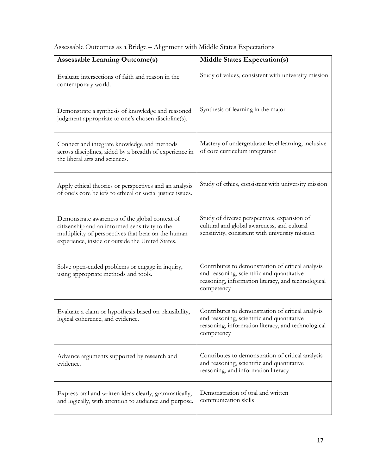| <b>Assessable Learning Outcome(s)</b>                                                                                                                                                                       | <b>Middle States Expectation(s)</b>                                                                                                                                 |  |  |
|-------------------------------------------------------------------------------------------------------------------------------------------------------------------------------------------------------------|---------------------------------------------------------------------------------------------------------------------------------------------------------------------|--|--|
| Evaluate intersections of faith and reason in the<br>contemporary world.                                                                                                                                    | Study of values, consistent with university mission                                                                                                                 |  |  |
| Demonstrate a synthesis of knowledge and reasoned<br>judgment appropriate to one's chosen discipline(s).                                                                                                    | Synthesis of learning in the major                                                                                                                                  |  |  |
| Connect and integrate knowledge and methods<br>across disciplines, aided by a breadth of experience in<br>the liberal arts and sciences.                                                                    | Mastery of undergraduate-level learning, inclusive<br>of core curriculum integration                                                                                |  |  |
| Apply ethical theories or perspectives and an analysis<br>of one's core beliefs to ethical or social justice issues.                                                                                        | Study of ethics, consistent with university mission                                                                                                                 |  |  |
| Demonstrate awareness of the global context of<br>citizenship and an informed sensitivity to the<br>multiplicity of perspectives that bear on the human<br>experience, inside or outside the United States. | Study of diverse perspectives, expansion of<br>cultural and global awareness, and cultural<br>sensitivity, consistent with university mission                       |  |  |
| Solve open-ended problems or engage in inquiry,<br>using appropriate methods and tools.                                                                                                                     | Contributes to demonstration of critical analysis<br>and reasoning, scientific and quantitative<br>reasoning, information literacy, and technological<br>competency |  |  |
| Evaluate a claim or hypothesis based on plausibility,<br>logical coherence, and evidence.                                                                                                                   | Contributes to demonstration of critical analysis<br>and reasoning, scientific and quantitative<br>reasoning, information literacy, and technological<br>competency |  |  |
| Advance arguments supported by research and<br>evidence.                                                                                                                                                    | Contributes to demonstration of critical analysis<br>and reasoning, scientific and quantitative<br>reasoning, and information literacy                              |  |  |
| Express oral and written ideas clearly, grammatically,<br>and logically, with attention to audience and purpose.                                                                                            | Demonstration of oral and written<br>communication skills                                                                                                           |  |  |

Assessable Outcomes as a Bridge – Alignment with Middle States Expectations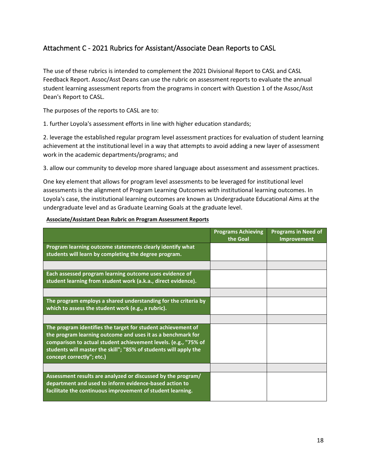## <span id="page-19-0"></span>Attachment C - 2021 Rubrics for Assistant/Associate Dean Reports to CASL

The use of these rubrics is intended to complement the 2021 Divisional Report to CASL and CASL Feedback Report. Assoc/Asst Deans can use the rubric on assessment reports to evaluate the annual student learning assessment reports from the programs in concert with Question 1 of the Assoc/Asst Dean's Report to CASL.

The purposes of the reports to CASL are to:

1. further Loyola's assessment efforts in line with higher education standards;

2. leverage the established regular program level assessment practices for evaluation of student learning achievement at the institutional level in a way that attempts to avoid adding a new layer of assessment work in the academic departments/programs; and

3. allow our community to develop more shared language about assessment and assessment practices.

One key element that allows for program level assessments to be leveraged for institutional level assessments is the alignment of Program Learning Outcomes with institutional learning outcomes. In Loyola's case, the institutional learning outcomes are known as Undergraduate Educational Aims at the undergraduate level and as Graduate Learning Goals at the graduate level.

|                                                                                                                                                                                                                                                                                                 | <b>Programs Achieving</b><br>the Goal | <b>Programs in Need of</b><br>Improvement |
|-------------------------------------------------------------------------------------------------------------------------------------------------------------------------------------------------------------------------------------------------------------------------------------------------|---------------------------------------|-------------------------------------------|
| Program learning outcome statements clearly identify what<br>students will learn by completing the degree program.                                                                                                                                                                              |                                       |                                           |
|                                                                                                                                                                                                                                                                                                 |                                       |                                           |
| Each assessed program learning outcome uses evidence of<br>student learning from student work (a.k.a., direct evidence).                                                                                                                                                                        |                                       |                                           |
|                                                                                                                                                                                                                                                                                                 |                                       |                                           |
| The program employs a shared understanding for the criteria by<br>which to assess the student work (e.g., a rubric).                                                                                                                                                                            |                                       |                                           |
|                                                                                                                                                                                                                                                                                                 |                                       |                                           |
| The program identifies the target for student achievement of<br>the program learning outcome and uses it as a benchmark for<br>comparison to actual student achievement levels. (e.g., "75% of<br>students will master the skill"; "85% of students will apply the<br>concept correctly"; etc.) |                                       |                                           |
|                                                                                                                                                                                                                                                                                                 |                                       |                                           |
| Assessment results are analyzed or discussed by the program/<br>department and used to inform evidence-based action to<br>facilitate the continuous improvement of student learning.                                                                                                            |                                       |                                           |

#### **Associate/Assistant Dean Rubric on Program Assessment Reports**